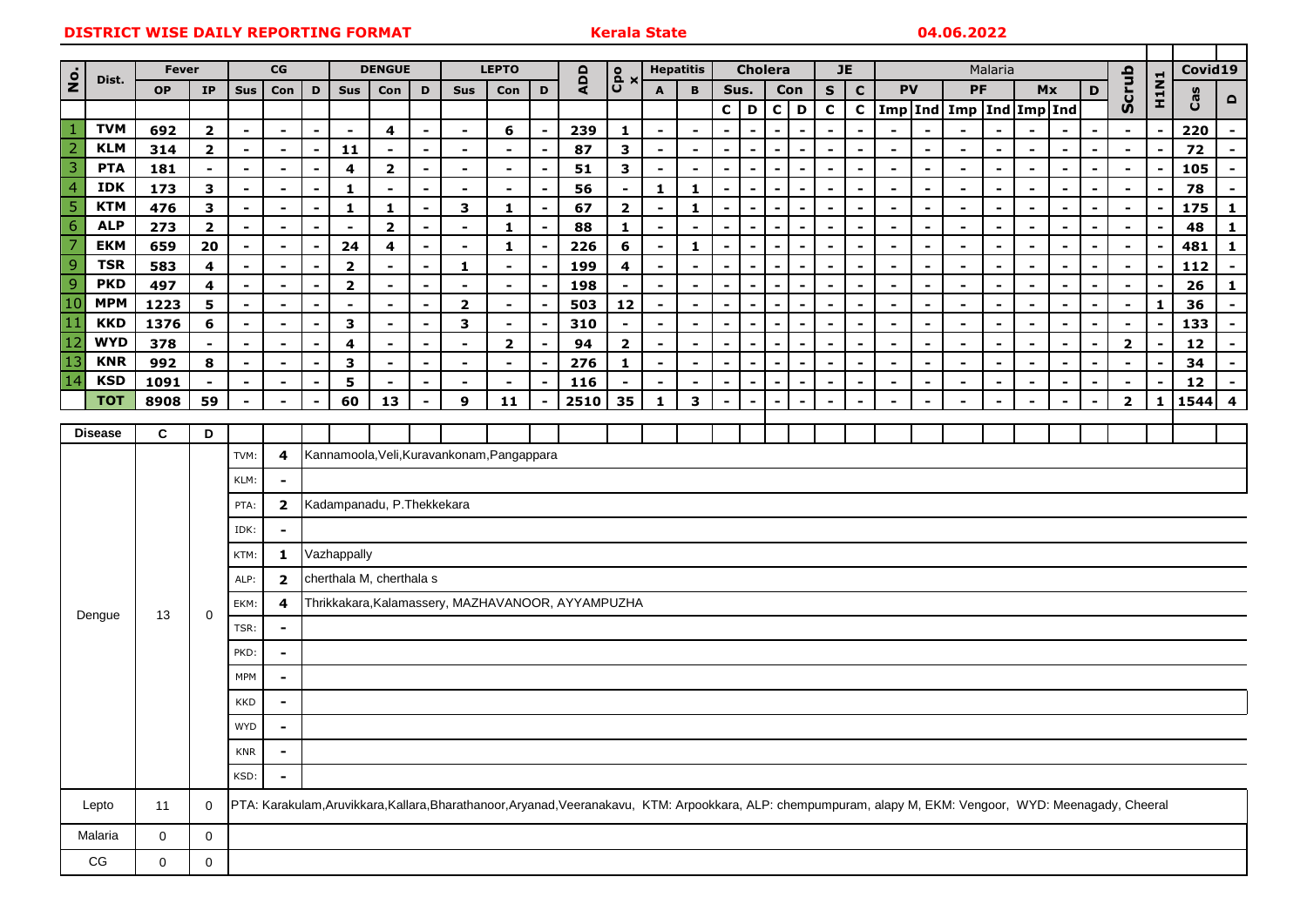|                                       |                          |              |                                  |                                  |                                  |                                                   |                           |                                  |                                  |                                            |                  |                                                      |                                                                                                                                                             |                                         |                  |                          |                          | <b>JE</b>                |                |                          |                                                      | Malaria                          |                                  |                                            |                                            |                |                          |                |                          |                                  |                |           |                         |
|---------------------------------------|--------------------------|--------------|----------------------------------|----------------------------------|----------------------------------|---------------------------------------------------|---------------------------|----------------------------------|----------------------------------|--------------------------------------------|------------------|------------------------------------------------------|-------------------------------------------------------------------------------------------------------------------------------------------------------------|-----------------------------------------|------------------|--------------------------|--------------------------|--------------------------|----------------|--------------------------|------------------------------------------------------|----------------------------------|----------------------------------|--------------------------------------------|--------------------------------------------|----------------|--------------------------|----------------|--------------------------|----------------------------------|----------------|-----------|-------------------------|
| $\frac{\dot{\mathsf{o}}}{\mathsf{z}}$ | Dist.                    | <b>Fever</b> |                                  | CG                               |                                  |                                                   | <b>DENGUE</b>             |                                  |                                  | <b>LEPTO</b>                               |                  |                                                      | ADD                                                                                                                                                         | Cpo<br>x                                | <b>Hepatitis</b> |                          |                          | <b>Cholera</b><br>Sus.   |                |                          |                                                      | <b>PV</b><br>PF                  |                                  | Mx                                         |                                            |                |                          |                | Covid19                  |                                  |                |           |                         |
|                                       |                          | <b>OP</b>    | <b>IP</b>                        | Sus                              | Con                              | D                                                 | <b>Sus</b>                | Con                              | D                                | Sus                                        | Con              | D                                                    |                                                                                                                                                             |                                         | A                | B                        |                          |                          |                | Con                      | S                                                    | $\mathbf C$                      |                                  |                                            |                                            |                |                          |                | D                        | Scrub                            | <b>H1N1</b>    | Cas       | $\blacksquare$          |
|                                       |                          |              |                                  |                                  |                                  |                                                   |                           |                                  |                                  |                                            |                  |                                                      |                                                                                                                                                             |                                         |                  |                          | $\mathbf{C}$             | D                        |                | $C$   D                  | C                                                    | $\mathbf{C}$                     |                                  |                                            | Imp Ind Imp Ind Imp Ind                    |                |                          |                |                          |                                  |                |           |                         |
| $\overline{2}$                        | <b>TVM</b><br><b>KLM</b> | 692          | $\overline{\mathbf{2}}$          | $\overline{a}$                   |                                  | $\blacksquare$                                    |                           | 4                                | $\overline{\phantom{a}}$         | $\blacksquare$                             | 6                | $\overline{\phantom{a}}$                             | 239                                                                                                                                                         | $\mathbf{1}$                            |                  |                          |                          |                          |                |                          | $\overline{\phantom{a}}$                             |                                  |                                  |                                            |                                            |                |                          | $\blacksquare$ |                          | $\overline{\phantom{a}}$         |                | 220       | $\sim$                  |
| 3                                     | <b>PTA</b>               | 314<br>181   | $\overline{2}$<br>$\blacksquare$ | $\blacksquare$<br>$\blacksquare$ | $\blacksquare$<br>$\blacksquare$ | $\blacksquare$<br>$\blacksquare$                  | 11<br>4                   | $\blacksquare$<br>$\overline{2}$ | $\blacksquare$<br>$\blacksquare$ | $\blacksquare$<br>$\blacksquare$           | $\sim$<br>$\sim$ | $\overline{\phantom{a}}$<br>$\overline{\phantom{a}}$ | 87<br>51                                                                                                                                                    | $\mathbf{3}$<br>$\overline{\mathbf{3}}$ | $\blacksquare$   | ٠                        |                          |                          | $\blacksquare$ | $\blacksquare$           | $\overline{\phantom{a}}$<br>$\overline{\phantom{0}}$ | $\blacksquare$<br>$\blacksquare$ | $\blacksquare$<br>$\blacksquare$ | $\blacksquare$<br>$\overline{\phantom{a}}$ | $\blacksquare$<br>$\overline{\phantom{a}}$ | $\blacksquare$ | $\overline{\phantom{0}}$ | $\blacksquare$ | $\blacksquare$           | $\blacksquare$<br>$\blacksquare$ | $\blacksquare$ | 72<br>105 | $\sim$<br>$\sim$        |
| $\overline{4}$                        | <b>IDK</b>               | 173          | 3                                | $\overline{\phantom{a}}$         | $\blacksquare$                   | $\blacksquare$                                    | $\mathbf{1}$              | $\overline{\phantom{a}}$         | $\overline{\phantom{a}}$         | $\blacksquare$                             | $\sim$           | $\overline{\phantom{a}}$                             | 56                                                                                                                                                          | $\blacksquare$                          | 1                | 1                        | $\blacksquare$           |                          |                | $\overline{\phantom{0}}$ | $\overline{\phantom{a}}$                             | $\blacksquare$                   | $\overline{\phantom{a}}$         | $\overline{\phantom{a}}$                   | $\overline{\phantom{a}}$                   |                |                          | ۰              | $\blacksquare$           | $\sim$                           | $\blacksquare$ | 78        | $\sim$                  |
| 5                                     | <b>KTM</b>               | 476          | $\mathbf{3}$                     | $\blacksquare$                   | $\blacksquare$                   | $\blacksquare$                                    | 1                         | 1                                | $\overline{\phantom{a}}$         | 3                                          | $\mathbf{1}$     | $\blacksquare$                                       | 67                                                                                                                                                          | $\mathbf{2}$                            | $\blacksquare$   | 1                        | $\blacksquare$           |                          |                | $\blacksquare$           | $\sim$                                               | $\blacksquare$                   | $\blacksquare$                   | $\overline{\phantom{0}}$                   | $\overline{\phantom{0}}$                   |                |                          | $\blacksquare$ |                          | $\blacksquare$                   |                | 175       | $\mathbf{1}$            |
| $\overline{6}$                        | <b>ALP</b>               | 273          | $\overline{2}$                   | $\blacksquare$                   |                                  | $\blacksquare$                                    | $\blacksquare$            | $\overline{\mathbf{2}}$          | $\overline{\phantom{a}}$         | $\blacksquare$                             | $\mathbf{1}$     | $\overline{\phantom{a}}$                             | 88                                                                                                                                                          | $\mathbf{1}$                            |                  |                          |                          |                          |                | $\blacksquare$           | $\blacksquare$                                       | $\blacksquare$                   | $\sim$                           | $\overline{\phantom{0}}$                   | $\overline{\phantom{a}}$                   | $\blacksquare$ |                          | $\blacksquare$ |                          | $\sim$                           |                | 48        | $\mathbf{1}$            |
| 7                                     | <b>EKM</b>               | 659          | 20                               | $\overline{\phantom{0}}$         | $\blacksquare$                   |                                                   | 24                        | 4                                | $\overline{\phantom{a}}$         | $\blacksquare$                             | $\mathbf{1}$     | $\overline{\phantom{a}}$                             | 226                                                                                                                                                         | 6                                       |                  | 1                        |                          |                          |                | $\overline{\phantom{0}}$ | $\overline{\phantom{a}}$                             |                                  |                                  |                                            |                                            |                |                          | $\blacksquare$ |                          | $\blacksquare$                   |                | 481       | 1                       |
| $\overline{9}$                        | <b>TSR</b>               | 583          | 4                                | $\overline{\phantom{a}}$         | $\blacksquare$                   | $\blacksquare$                                    | $\mathbf{2}$              | $\overline{\phantom{a}}$         | $\blacksquare$                   | 1                                          | $\sim$           | $\overline{\phantom{a}}$                             | 199                                                                                                                                                         | 4                                       | $\blacksquare$   | $\blacksquare$           |                          | $\blacksquare$           |                | $\blacksquare$           | $\blacksquare$                                       | $\blacksquare$                   | $\blacksquare$                   | $\overline{\phantom{a}}$                   | $\overline{\phantom{a}}$                   | $\blacksquare$ | $\blacksquare$           | $\blacksquare$ | $\overline{\phantom{a}}$ | $\blacksquare$                   |                | 112       | $\sim$                  |
| $\overline{9}$                        | <b>PKD</b>               | 497          | 4                                | $\blacksquare$                   | $\blacksquare$                   | $\sim$                                            | $\mathbf{2}$              | $\sim$                           | $\overline{\phantom{a}}$         | $\blacksquare$                             | $\blacksquare$   | $\overline{\phantom{a}}$                             | 198                                                                                                                                                         | $\blacksquare$                          | $\blacksquare$   | $\blacksquare$           | $\blacksquare$           | $\blacksquare$           |                | $\blacksquare$           | $\overline{\phantom{a}}$                             | $\blacksquare$                   | $\blacksquare$                   | $\blacksquare$                             | $\blacksquare$                             | $\blacksquare$ | $\overline{\phantom{a}}$ | $\blacksquare$ | $\blacksquare$           | $\blacksquare$                   | $\blacksquare$ | 26        | $\mathbf{1}$            |
| 10                                    | <b>MPM</b>               | 1223         | 5                                | $\blacksquare$                   | $\overline{\phantom{a}}$         | $\blacksquare$                                    | $\blacksquare$            | $\sim$                           | $\blacksquare$                   | $\overline{2}$                             | $\blacksquare$   | $\blacksquare$                                       | 503                                                                                                                                                         | 12                                      | $\blacksquare$   | $\overline{\phantom{0}}$ | $\overline{\phantom{0}}$ | $\overline{\phantom{0}}$ |                | $\overline{\phantom{a}}$ | $\blacksquare$                                       | $\blacksquare$                   | $\blacksquare$                   | $\overline{\phantom{a}}$                   | $\overline{\phantom{a}}$                   | ۰              | $\overline{\phantom{0}}$ | $\blacksquare$ | $\sim$                   | $\blacksquare$                   | $\mathbf{1}$   | 36        | $\sim$                  |
| 11                                    | <b>KKD</b>               | 1376         | 6                                | $\blacksquare$                   | $\blacksquare$                   | $\blacksquare$                                    | 3                         | $\blacksquare$                   | $\blacksquare$                   | 3                                          | $\sim$           | $\blacksquare$                                       | 310                                                                                                                                                         |                                         |                  |                          | $\blacksquare$           |                          |                | $\blacksquare$           | $\blacksquare$                                       | $\blacksquare$                   | $\overline{\phantom{a}}$         |                                            | $\overline{\phantom{0}}$                   |                |                          | $\blacksquare$ | $\blacksquare$           | $\blacksquare$                   |                | 133       | $\sim$                  |
| 12                                    | <b>WYD</b>               | 378          |                                  | $\blacksquare$                   | $\blacksquare$                   | $\blacksquare$                                    | 4                         | $\blacksquare$                   | $\blacksquare$                   | $\blacksquare$                             | $\overline{2}$   |                                                      | 94                                                                                                                                                          | $\overline{\mathbf{2}}$                 | $\blacksquare$   |                          |                          |                          |                |                          | $\overline{\phantom{a}}$                             | $\blacksquare$                   | $\blacksquare$                   | $\blacksquare$                             | $\blacksquare$                             |                |                          | $\blacksquare$ | $\overline{\phantom{a}}$ | $\overline{2}$                   |                | 12        | $\sim$                  |
| 13                                    | <b>KNR</b>               | 992          | 8                                | $\overline{a}$                   | $\blacksquare$                   | $\blacksquare$                                    | 3                         | $\blacksquare$                   | $\overline{\phantom{a}}$         | $\blacksquare$                             | $\blacksquare$   |                                                      | 276                                                                                                                                                         | $\mathbf{1}$                            | $\blacksquare$   |                          |                          | $\blacksquare$           |                |                          | $\overline{\phantom{a}}$                             | $\blacksquare$                   | $\blacksquare$                   |                                            | $\blacksquare$                             |                |                          | $\blacksquare$ |                          | $\overline{\phantom{a}}$         |                | 34        | $\sim$                  |
| 14                                    | <b>KSD</b>               | 1091         | $\sim$                           |                                  |                                  |                                                   | 5                         |                                  |                                  | $\blacksquare$                             | $\blacksquare$   |                                                      | 116                                                                                                                                                         |                                         |                  |                          |                          |                          |                |                          |                                                      |                                  | $\overline{\phantom{a}}$         |                                            | $\overline{\phantom{a}}$                   |                |                          |                |                          | $\overline{\phantom{a}}$         |                | 12        | $\blacksquare$          |
|                                       | <b>TOT</b>               | 8908         | 59                               | $\blacksquare$                   |                                  | $\overline{\phantom{0}}$                          | 60                        | 13                               | $\blacksquare$                   | 9                                          | 11               |                                                      | 2510                                                                                                                                                        | 35                                      | 1                | 3                        |                          |                          |                |                          | $\overline{\phantom{0}}$                             | $\blacksquare$                   | $\overline{\phantom{a}}$         | $\overline{\phantom{0}}$                   | $\overline{\phantom{a}}$                   |                |                          | $\blacksquare$ | $\blacksquare$           | $\overline{\mathbf{2}}$          | 1              | 1544      | $\overline{\mathbf{4}}$ |
|                                       | <b>Disease</b>           | C            | D                                |                                  |                                  |                                                   |                           |                                  |                                  |                                            |                  |                                                      |                                                                                                                                                             |                                         |                  |                          |                          |                          |                |                          |                                                      |                                  |                                  |                                            |                                            |                |                          |                |                          |                                  |                |           |                         |
|                                       |                          |              |                                  | TVM:                             | 4                                |                                                   |                           |                                  |                                  | Kannamoola, Veli, Kuravankonam, Pangappara |                  |                                                      |                                                                                                                                                             |                                         |                  |                          |                          |                          |                |                          |                                                      |                                  |                                  |                                            |                                            |                |                          |                |                          |                                  |                |           |                         |
|                                       |                          | 13           |                                  | KLM:                             | $\sim$                           |                                                   |                           |                                  |                                  |                                            |                  |                                                      |                                                                                                                                                             |                                         |                  |                          |                          |                          |                |                          |                                                      |                                  |                                  |                                            |                                            |                |                          |                |                          |                                  |                |           |                         |
|                                       |                          |              |                                  | PTA:                             | $\mathbf{2}$                     |                                                   | Kadampanadu, P.Thekkekara |                                  |                                  |                                            |                  |                                                      |                                                                                                                                                             |                                         |                  |                          |                          |                          |                |                          |                                                      |                                  |                                  |                                            |                                            |                |                          |                |                          |                                  |                |           |                         |
|                                       |                          |              |                                  | IDK:                             | $\blacksquare$                   |                                                   |                           |                                  |                                  |                                            |                  |                                                      |                                                                                                                                                             |                                         |                  |                          |                          |                          |                |                          |                                                      |                                  |                                  |                                            |                                            |                |                          |                |                          |                                  |                |           |                         |
|                                       |                          |              |                                  | KTM:                             | 1                                |                                                   | Vazhappally               |                                  |                                  |                                            |                  |                                                      |                                                                                                                                                             |                                         |                  |                          |                          |                          |                |                          |                                                      |                                  |                                  |                                            |                                            |                |                          |                |                          |                                  |                |           |                         |
|                                       |                          |              |                                  | ALP:                             | $\overline{2}$                   | cherthala M, cherthala s                          |                           |                                  |                                  |                                            |                  |                                                      |                                                                                                                                                             |                                         |                  |                          |                          |                          |                |                          |                                                      |                                  |                                  |                                            |                                            |                |                          |                |                          |                                  |                |           |                         |
|                                       |                          |              | $\mathbf 0$                      | EKM:                             | 4                                | Thrikkakara, Kalamassery, MAZHAVANOOR, AYYAMPUZHA |                           |                                  |                                  |                                            |                  |                                                      |                                                                                                                                                             |                                         |                  |                          |                          |                          |                |                          |                                                      |                                  |                                  |                                            |                                            |                |                          |                |                          |                                  |                |           |                         |
|                                       | Dengue                   |              |                                  | TSR:                             | $\blacksquare$                   |                                                   |                           |                                  |                                  |                                            |                  |                                                      |                                                                                                                                                             |                                         |                  |                          |                          |                          |                |                          |                                                      |                                  |                                  |                                            |                                            |                |                          |                |                          |                                  |                |           |                         |
|                                       |                          |              |                                  | PKD:                             |                                  |                                                   |                           |                                  |                                  |                                            |                  |                                                      |                                                                                                                                                             |                                         |                  |                          |                          |                          |                |                          |                                                      |                                  |                                  |                                            |                                            |                |                          |                |                          |                                  |                |           |                         |
|                                       |                          |              |                                  | <b>MPM</b>                       |                                  |                                                   |                           |                                  |                                  |                                            |                  |                                                      |                                                                                                                                                             |                                         |                  |                          |                          |                          |                |                          |                                                      |                                  |                                  |                                            |                                            |                |                          |                |                          |                                  |                |           |                         |
|                                       |                          |              |                                  | <b>KKD</b>                       |                                  |                                                   |                           |                                  |                                  |                                            |                  |                                                      |                                                                                                                                                             |                                         |                  |                          |                          |                          |                |                          |                                                      |                                  |                                  |                                            |                                            |                |                          |                |                          |                                  |                |           |                         |
|                                       |                          |              |                                  | <b>WYD</b>                       |                                  |                                                   |                           |                                  |                                  |                                            |                  |                                                      |                                                                                                                                                             |                                         |                  |                          |                          |                          |                |                          |                                                      |                                  |                                  |                                            |                                            |                |                          |                |                          |                                  |                |           |                         |
|                                       |                          |              |                                  | KNR                              | $\blacksquare$                   |                                                   |                           |                                  |                                  |                                            |                  |                                                      |                                                                                                                                                             |                                         |                  |                          |                          |                          |                |                          |                                                      |                                  |                                  |                                            |                                            |                |                          |                |                          |                                  |                |           |                         |
|                                       |                          |              |                                  | KSD:                             |                                  |                                                   |                           |                                  |                                  |                                            |                  |                                                      |                                                                                                                                                             |                                         |                  |                          |                          |                          |                |                          |                                                      |                                  |                                  |                                            |                                            |                |                          |                |                          |                                  |                |           |                         |
|                                       | Lepto                    | 11           | $\mathbf 0$                      |                                  |                                  |                                                   |                           |                                  |                                  |                                            |                  |                                                      | PTA: Karakulam, Aruvikkara, Kallara, Bharathanoor, Aryanad, Veeranakavu, KTM: Arpookkara, ALP: chempumpuram, alapy M, EKM: Vengoor, WYD: Meenagady, Cheeral |                                         |                  |                          |                          |                          |                |                          |                                                      |                                  |                                  |                                            |                                            |                |                          |                |                          |                                  |                |           |                         |
|                                       | Malaria                  | $\mathbf 0$  | $\mathsf{O}\xspace$              |                                  |                                  |                                                   |                           |                                  |                                  |                                            |                  |                                                      |                                                                                                                                                             |                                         |                  |                          |                          |                          |                |                          |                                                      |                                  |                                  |                                            |                                            |                |                          |                |                          |                                  |                |           |                         |
|                                       | $CG$                     | $\mathbf 0$  | $\mathbf 0$                      |                                  |                                  |                                                   |                           |                                  |                                  |                                            |                  |                                                      |                                                                                                                                                             |                                         |                  |                          |                          |                          |                |                          |                                                      |                                  |                                  |                                            |                                            |                |                          |                |                          |                                  |                |           |                         |